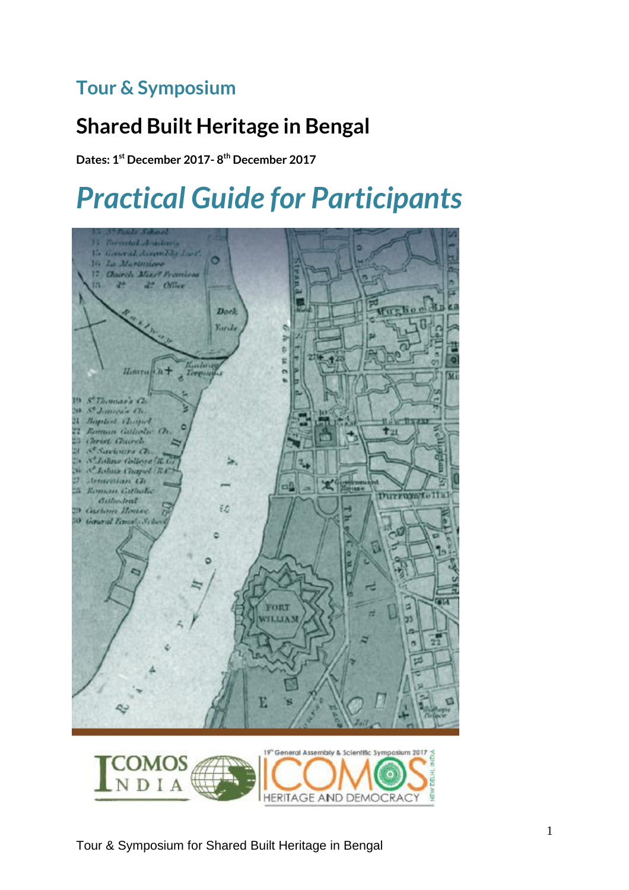## **Tour & Symposium**

# **Shared Built Heritage in Bengal**

**Dates: 1 st December 2017- 8 th December 2017**

# *Practical Guide for Participants*

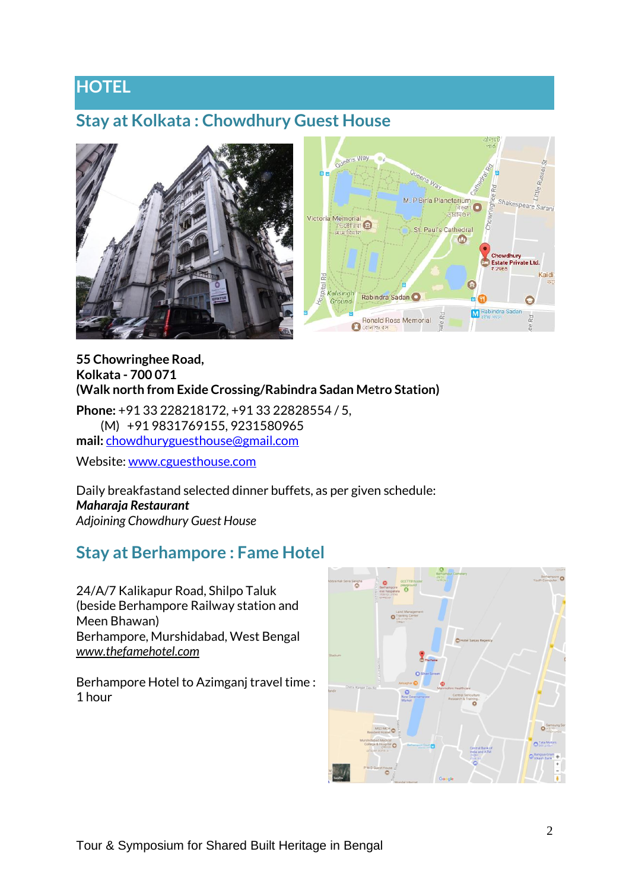### **HOTEL**

#### **Stay at Kolkata : Chowdhury Guest House**



#### **55 Chowringhee Road, Kolkata - 700 071 (Walk north from Exide Crossing/Rabindra Sadan Metro Station)**

**Phone:** +91 33 228218172, +91 33 22828554 / 5, (M) +91 9831769155, 9231580965 **mail:** [chowdhuryguesthouse@gmail.com](mailto:chowdhuryguesthouse@gmail.com)

Website: [www.cguesthouse.com](http://www.cguesthouse.com/)

Daily breakfastand selected dinner buffets, as per given schedule: *Maharaja Restaurant Adjoining Chowdhury Guest House*

#### **Stay at Berhampore : Fame Hotel**

24/A/7 Kalikapur Road, Shilpo Taluk (beside Berhampore Railway station and Meen Bhawan) Berhampore, Murshidabad, West Bengal *[www.thefamehotel.com](http://www.thefamehotel.com/)*

Berhampore Hotel to Azimganj travel time : 1 hour

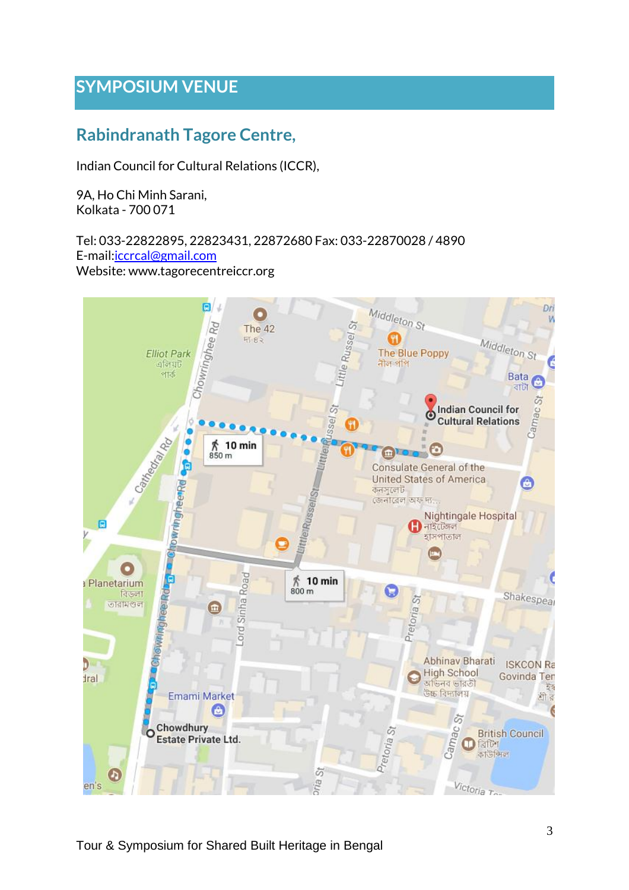### **SYMPOSIUM VENUE**

### **Rabindranath Tagore Centre,**

Indian Council for Cultural Relations (ICCR),

9A, Ho Chi Minh Sarani, Kolkata - 700 071

Tel: 033-22822895, 22823431, 22872680 Fax: 033-22870028 / 4890 E-mail:*iccrcal@gmail.com* Website: www.tagorecentreiccr.org

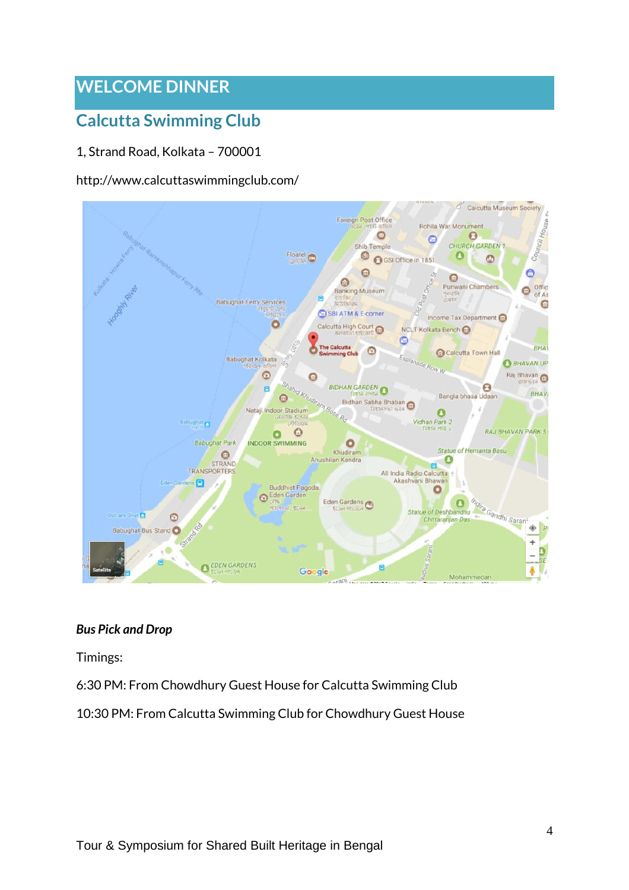### **WELCOME DINNER**

### **Calcutta Swimming Club**

#### 1, Strand Road, Kolkata – 700001

#### http://www.calcuttaswimmingclub.com/



#### *Bus Pick and Drop*

Timings:

6:30 PM: From Chowdhury Guest House for Calcutta Swimming Club

10:30 PM: From Calcutta Swimming Club for Chowdhury Guest House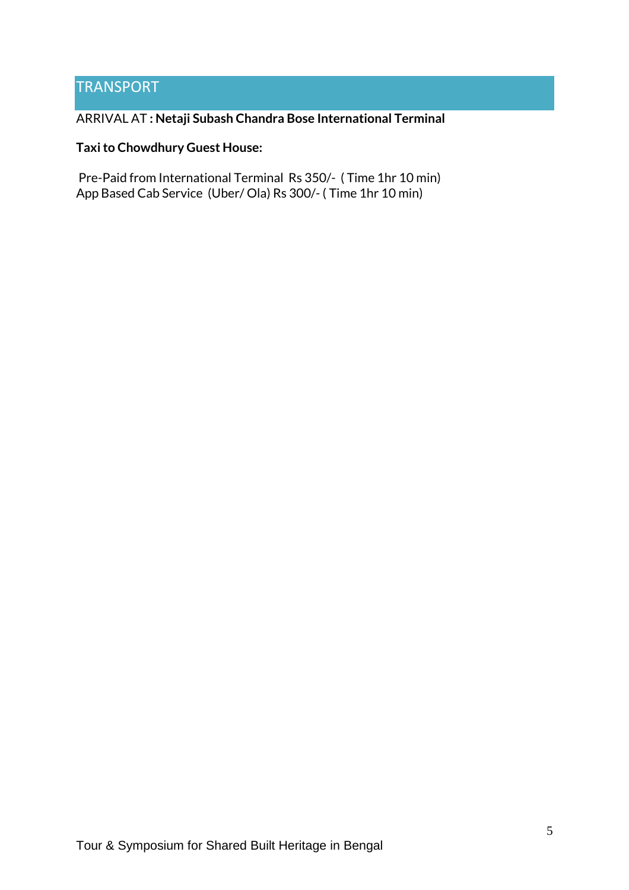#### **TRANSPORT**

#### ARRIVAL AT **: Netaji Subash Chandra Bose International Terminal**

#### **Taxito Chowdhury Guest House:**

Pre-Paid from International Terminal Rs 350/- ( Time 1hr 10 min) App Based Cab Service (Uber/ Ola) Rs 300/- ( Time 1hr 10 min)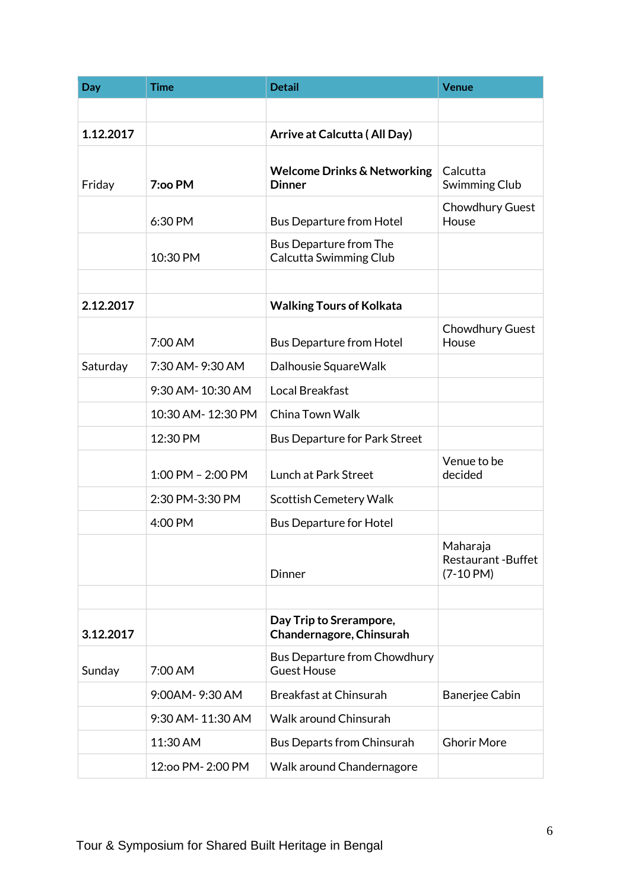| Day       | <b>Time</b>           | <b>Detail</b>                                           | <b>Venue</b>                                        |
|-----------|-----------------------|---------------------------------------------------------|-----------------------------------------------------|
|           |                       |                                                         |                                                     |
| 1.12.2017 |                       | Arrive at Calcutta (All Day)                            |                                                     |
| Friday    | 7:00 PM               | <b>Welcome Drinks &amp; Networking</b><br><b>Dinner</b> | Calcutta<br><b>Swimming Club</b>                    |
|           | 6:30 PM               | <b>Bus Departure from Hotel</b>                         | <b>Chowdhury Guest</b><br>House                     |
|           | 10:30 PM              | <b>Bus Departure from The</b><br>Calcutta Swimming Club |                                                     |
|           |                       |                                                         |                                                     |
| 2.12.2017 |                       | <b>Walking Tours of Kolkata</b>                         |                                                     |
|           | 7:00 AM               | <b>Bus Departure from Hotel</b>                         | Chowdhury Guest<br>House                            |
| Saturday  | 7:30 AM-9:30 AM       | Dalhousie SquareWalk                                    |                                                     |
|           | 9:30 AM-10:30 AM      | Local Breakfast                                         |                                                     |
|           | 10:30 AM-12:30 PM     | China Town Walk                                         |                                                     |
|           | 12:30 PM              | <b>Bus Departure for Park Street</b>                    |                                                     |
|           | $1:00$ PM $- 2:00$ PM | <b>Lunch at Park Street</b>                             | Venue to be<br>decided                              |
|           | 2:30 PM-3:30 PM       | <b>Scottish Cemetery Walk</b>                           |                                                     |
|           | 4:00 PM               | <b>Bus Departure for Hotel</b>                          |                                                     |
|           |                       | Dinner                                                  | Maharaja<br><b>Restaurant-Buffet</b><br>$(7-10$ PM) |
|           |                       |                                                         |                                                     |
| 3.12.2017 |                       | Day Trip to Srerampore,<br>Chandernagore, Chinsurah     |                                                     |
| Sunday    | 7:00 AM               | Bus Departure from Chowdhury<br><b>Guest House</b>      |                                                     |
|           | 9:00AM-9:30 AM        | <b>Breakfast at Chinsurah</b>                           | Banerjee Cabin                                      |
|           | 9:30 AM-11:30 AM      | <b>Walk around Chinsurah</b>                            |                                                     |
|           | 11:30 AM              | Bus Departs from Chinsurah                              | <b>Ghorir More</b>                                  |
|           | 12:00 PM-2:00 PM      | Walk around Chandernagore                               |                                                     |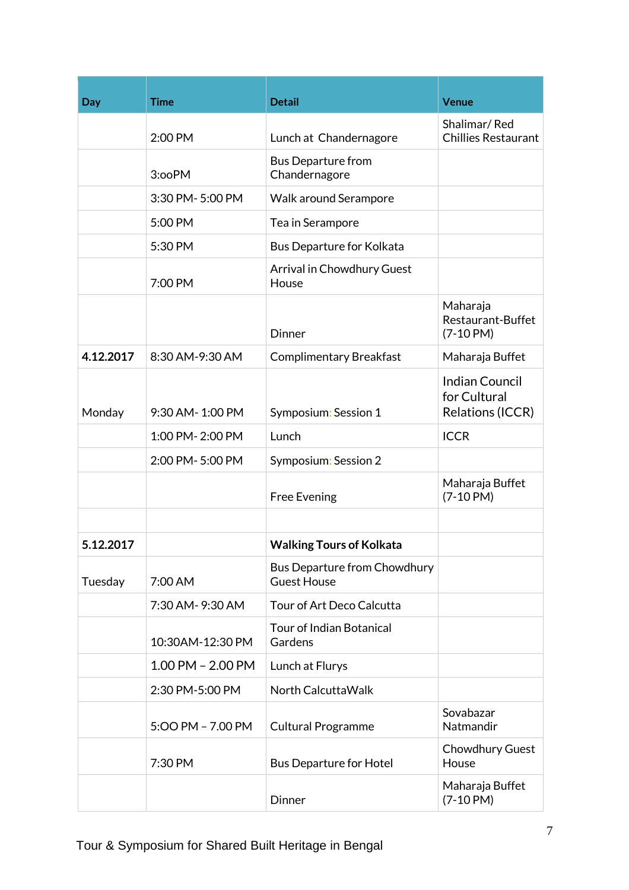| Day       | <b>Time</b>           | <b>Detail</b>                                      | <b>Venue</b>                                             |
|-----------|-----------------------|----------------------------------------------------|----------------------------------------------------------|
|           | 2:00 PM               | Lunch at Chandernagore                             | Shalimar/Red<br>Chillies Restaurant                      |
|           | 3:ooPM                | <b>Bus Departure from</b><br>Chandernagore         |                                                          |
|           | 3:30 PM-5:00 PM       | <b>Walk around Serampore</b>                       |                                                          |
|           | 5:00 PM               | Tea in Serampore                                   |                                                          |
|           | 5:30 PM               | <b>Bus Departure for Kolkata</b>                   |                                                          |
|           | 7:00 PM               | Arrival in Chowdhury Guest<br>House                |                                                          |
|           |                       | <b>Dinner</b>                                      | Maharaja<br>Restaurant-Buffet<br>$(7-10 PM)$             |
| 4.12.2017 | 8:30 AM-9:30 AM       | <b>Complimentary Breakfast</b>                     | Maharaja Buffet<br><b>Indian Council</b><br>for Cultural |
| Monday    | 9:30 AM-1:00 PM       | Symposium: Session 1                               | Relations (ICCR)                                         |
|           | 1:00 PM-2:00 PM       | Lunch                                              | <b>ICCR</b>                                              |
|           | 2:00 PM-5:00 PM       | Symposium: Session 2                               |                                                          |
|           |                       | <b>Free Evening</b>                                | Maharaja Buffet<br>$(7-10$ PM)                           |
| 5.12.2017 |                       | <b>Walking Tours of Kolkata</b>                    |                                                          |
| Tuesday   | 7:00 AM               | Bus Departure from Chowdhury<br><b>Guest House</b> |                                                          |
|           | 7:30 AM-9:30 AM       | Tour of Art Deco Calcutta                          |                                                          |
|           | 10:30AM-12:30 PM      | <b>Tour of Indian Botanical</b><br>Gardens         |                                                          |
|           | $1.00$ PM $- 2.00$ PM | Lunch at Flurys                                    |                                                          |
|           | 2:30 PM-5:00 PM       | North Calcutta Walk                                |                                                          |
|           | 5:00 PM - 7.00 PM     | <b>Cultural Programme</b>                          | Sovabazar<br>Natmandir                                   |
|           | 7:30 PM               | <b>Bus Departure for Hotel</b>                     | Chowdhury Guest<br>House                                 |
|           |                       | Dinner                                             | Maharaja Buffet<br>$(7-10$ PM)                           |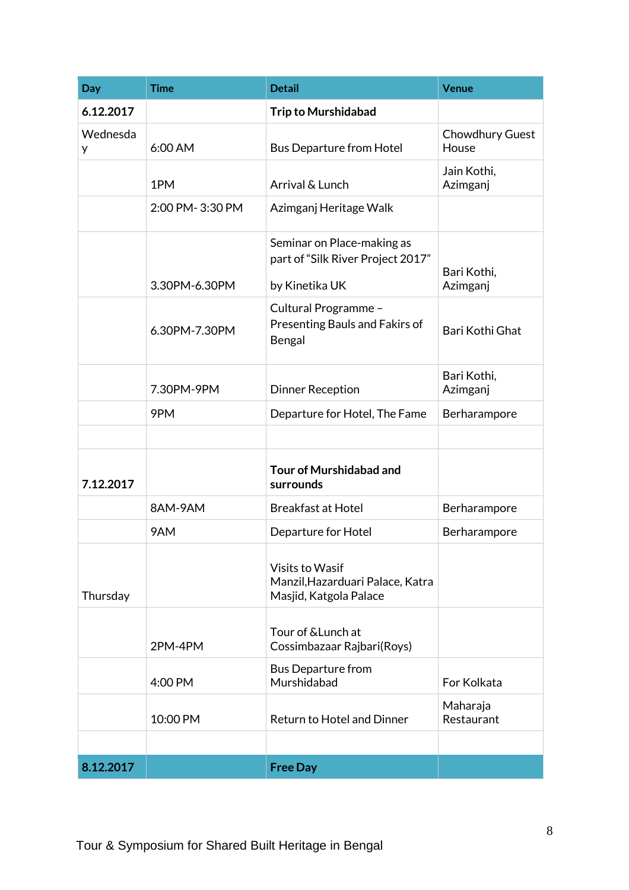| Day           | <b>Time</b>     | <b>Detail</b>                                                                        | <b>Venue</b>             |
|---------------|-----------------|--------------------------------------------------------------------------------------|--------------------------|
| 6.12.2017     |                 | <b>Trip to Murshidabad</b>                                                           |                          |
| Wednesda<br>y | 6:00 AM         | <b>Bus Departure from Hotel</b>                                                      | Chowdhury Guest<br>House |
|               | 1PM             | Arrival & Lunch                                                                      | Jain Kothi,<br>Azimganj  |
|               | 2:00 PM-3:30 PM | Azimganj Heritage Walk                                                               |                          |
|               | 3.30PM-6.30PM   | Seminar on Place-making as<br>part of "Silk River Project 2017"<br>by Kinetika UK    | Bari Kothi,<br>Azimganj  |
|               | 6.30PM-7.30PM   | Cultural Programme -<br>Presenting Bauls and Fakirs of<br>Bengal                     | Bari Kothi Ghat          |
|               | 7.30PM-9PM      | <b>Dinner Reception</b>                                                              | Bari Kothi,<br>Azimganj  |
|               | 9PM             | Departure for Hotel, The Fame                                                        | Berharampore             |
|               |                 |                                                                                      |                          |
| 7.12.2017     |                 | <b>Tour of Murshidabad and</b><br>surrounds                                          |                          |
|               | 8AM-9AM         | <b>Breakfast at Hotel</b>                                                            | Berharampore             |
|               | 9AM             | Departure for Hotel                                                                  | Berharampore             |
| Thursday      |                 | <b>Visits to Wasif</b><br>Manzil, Hazarduari Palace, Katra<br>Masjid, Katgola Palace |                          |
|               | 2PM-4PM         | Tour of & Lunch at<br>Cossimbazaar Rajbari(Roys)                                     |                          |
|               | 4:00 PM         | <b>Bus Departure from</b><br>Murshidabad                                             | For Kolkata              |
|               | 10:00 PM        | <b>Return to Hotel and Dinner</b>                                                    | Maharaja<br>Restaurant   |
|               |                 |                                                                                      |                          |
| 8.12.2017     |                 | <b>Free Day</b>                                                                      |                          |